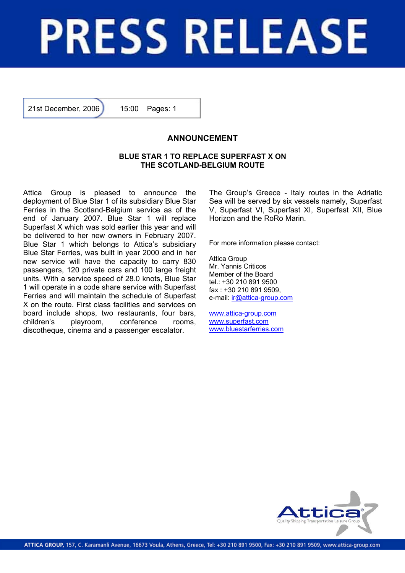## **PRESS RELEASE**

21st December, 2006 15:00 Pages: 1

## **ANNOUNCEMENT**

## **BLUE STAR 1 TO REPLACE SUPERFAST X ON THE SCOTLAND-BELGIUM ROUTE**

Attica Group is pleased to announce the deployment of Blue Star 1 of its subsidiary Blue Star Ferries in the Scotland-Belgium service as of the end of January 2007. Blue Star 1 will replace Superfast X which was sold earlier this year and will be delivered to her new owners in February 2007. Blue Star 1 which belongs to Attica's subsidiary Blue Star Ferries, was built in year 2000 and in her new service will have the capacity to carry 830 passengers, 120 private cars and 100 large freight units. With a service speed of 28.0 knots, Blue Star 1 will operate in a code share service with Superfast Ferries and will maintain the schedule of Superfast X on the route. First class facilities and services on board include shops, two restaurants, four bars, children's playroom, conference rooms, discotheque, cinema and a passenger escalator.

The Group's Greece - Italy routes in the Adriatic Sea will be served by six vessels namely, Superfast V, Superfast VI, Superfast XI, Superfast XII, Blue Horizon and the RoRo Marin.

For more information please contact:

Attica Group Mr. Yannis Criticos Member of the Board tel.: +30 210 891 9500 fax : +30 210 891 9509, e-mail: ir@attica-group.com

www.attica-group.com www.superfast.com www.bluestarferries.com